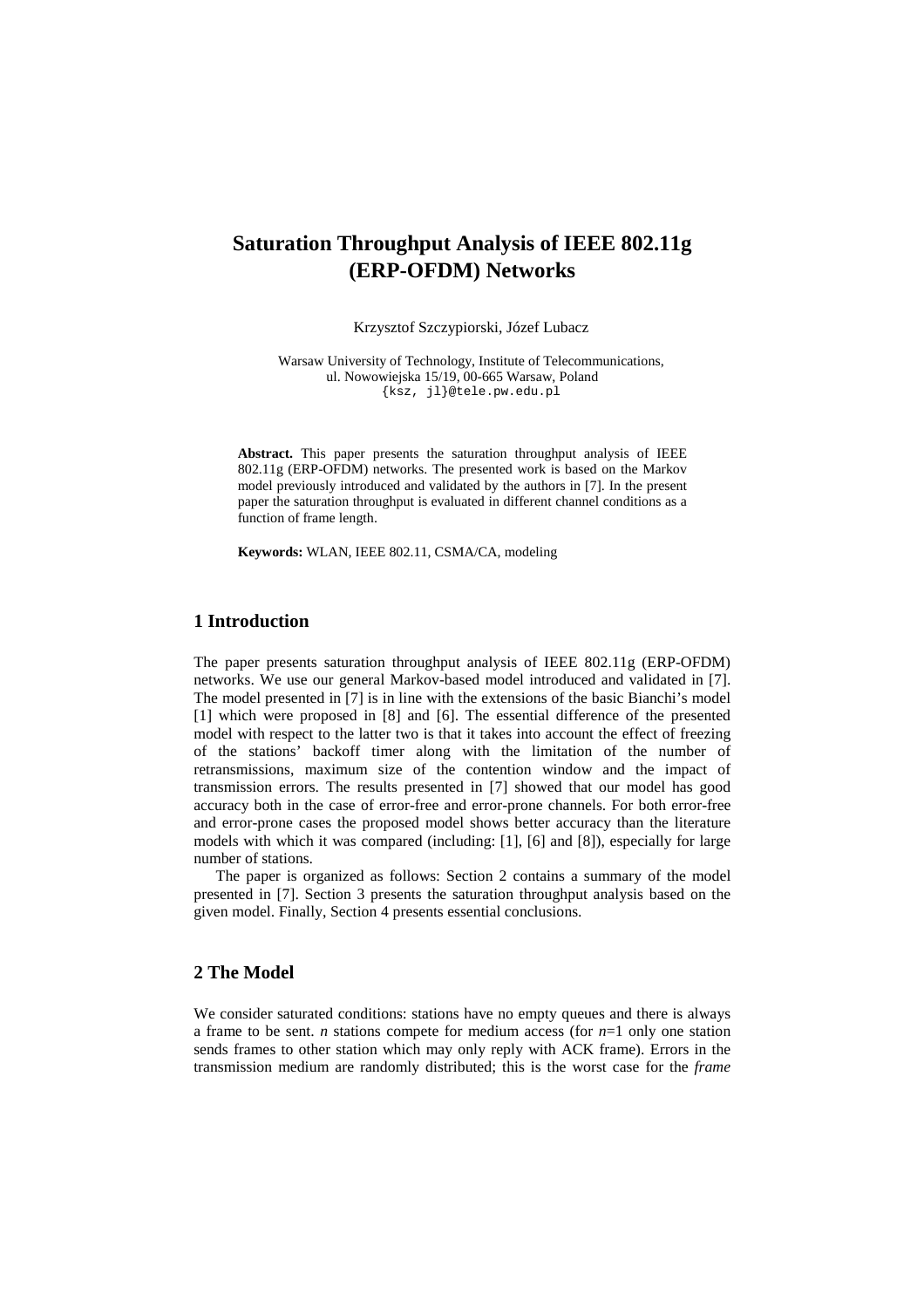# **Saturation Throughput Analysis of IEEE 802.11g (ERP-OFDM) Networks**

Krzysztof Szczypiorski, Józef Lubacz

Warsaw University of Technology, Institute of Telecommunications, ul. Nowowiejska 15/19, 00-665 Warsaw, Poland {ksz, jl}@tele.pw.edu.pl

Abstract. This paper presents the saturation throughput analysis of IEEE 802.11g (ERP-OFDM) networks. The presented work is based on the Markov model previously introduced and validated by the authors in [7]. In the present paper the saturation throughput is evaluated in different channel conditions as a function of frame length.

**Keywords:** WLAN, IEEE 802.11, CSMA/CA, modeling

## **1 Introduction**

The paper presents saturation throughput analysis of IEEE 802.11g (ERP-OFDM) networks. We use our general Markov-based model introduced and validated in [7]. The model presented in [7] is in line with the extensions of the basic Bianchi's model [1] which were proposed in [8] and [6]. The essential difference of the presented model with respect to the latter two is that it takes into account the effect of freezing of the stations' backoff timer along with the limitation of the number of retransmissions, maximum size of the contention window and the impact of transmission errors. The results presented in [7] showed that our model has good accuracy both in the case of error-free and error-prone channels. For both error-free and error-prone cases the proposed model shows better accuracy than the literature models with which it was compared (including: [1], [6] and [8]), especially for large number of stations.

The paper is organized as follows: Section 2 contains a summary of the model presented in [7]. Section 3 presents the saturation throughput analysis based on the given model. Finally, Section 4 presents essential conclusions.

#### **2 The Model**

We consider saturated conditions: stations have no empty queues and there is always a frame to be sent. *n* stations compete for medium access (for *n*=1 only one station sends frames to other station which may only reply with ACK frame). Errors in the transmission medium are randomly distributed; this is the worst case for the *frame*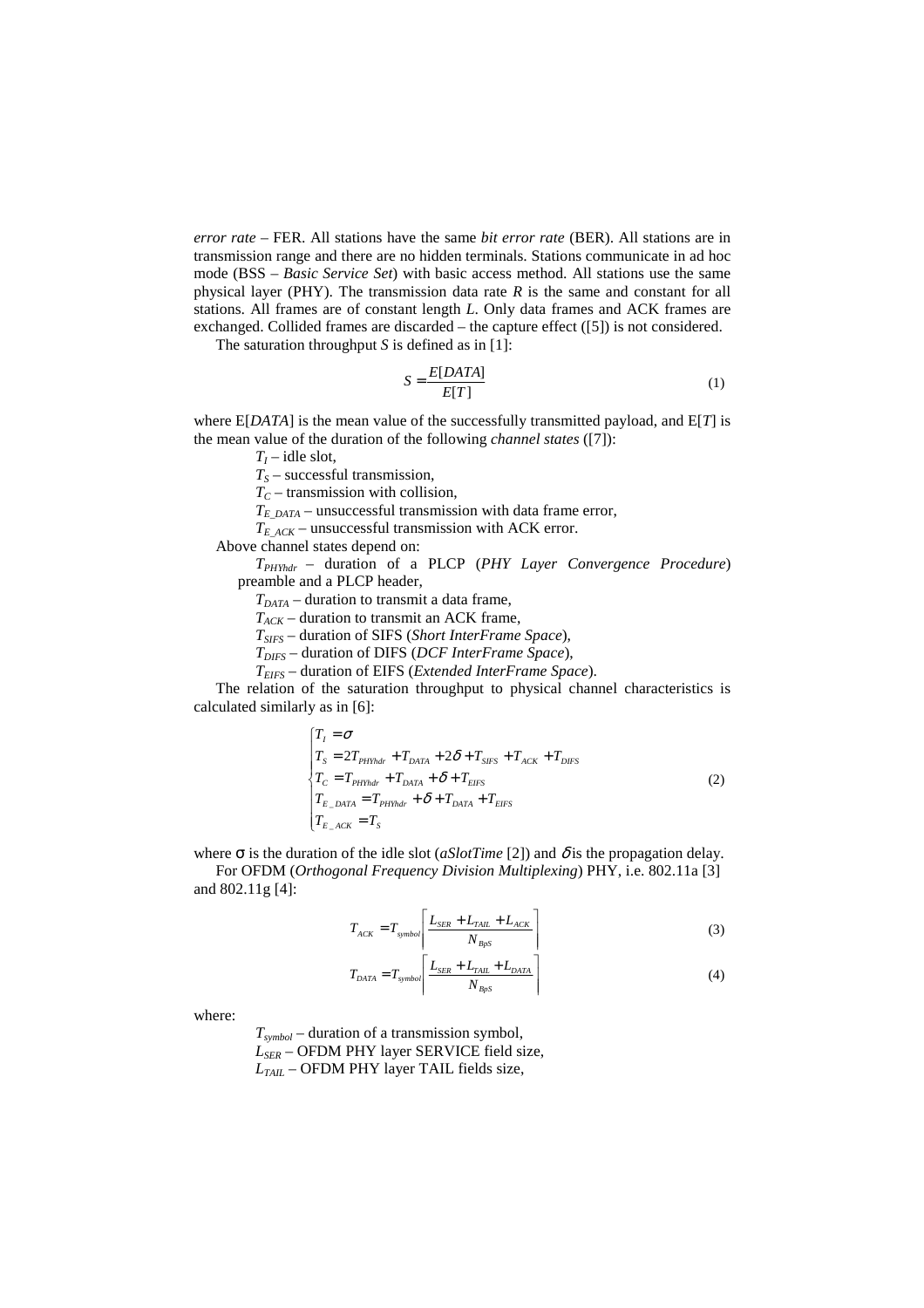*error rate –* FER. All stations have the same *bit error rate* (BER). All stations are in transmission range and there are no hidden terminals. Stations communicate in ad hoc mode (BSS – *Basic Service Set*) with basic access method. All stations use the same physical layer (PHY). The transmission data rate *R* is the same and constant for all stations. All frames are of constant length *L*. Only data frames and ACK frames are exchanged. Collided frames are discarded – the capture effect ([5]) is not considered.

The saturation throughput *S* is defined as in [1]:

$$
S = \frac{E[DATA]}{E[T]}
$$
 (1)

where E[*DATA*] is the mean value of the successfully transmitted payload, and E[*T*] is the mean value of the duration of the following *channel states* ([7]):

 $T_I$  – idle slot,

*TS* – successful transmission,

*TC* – transmission with collision,

*TE\_DATA* – unsuccessful transmission with data frame error,

*TE\_ACK* – unsuccessful transmission with ACK error.

Above channel states depend on:

*TPHYhdr* – duration of a PLCP (*PHY Layer Convergence Procedure*) preamble and a PLCP header,

 $T_{DATA}$  – duration to transmit a data frame,

*TACK* – duration to transmit an ACK frame,

*TSIFS* – duration of SIFS (*Short InterFrame Space*),

*TDIFS* – duration of DIFS (*DCF InterFrame Space*),

*TEIFS* – duration of EIFS (*Extended InterFrame Space*).

The relation of the saturation throughput to physical channel characteristics is calculated similarly as in [6]:

$$
\begin{cases}\nT_I = \sigma \\
T_S = 2T_{PHYhdr} + T_{DATA} + 2\delta + T_{SIFS} + T_{ACK} + T_{DIFS} \\
T_C = T_{PHYhdr} + T_{DATA} + \delta + T_{EIFS} \\
T_{E\_DATA} = T_{PHYhdr} + \delta + T_{DATA} + T_{EIFS} \\
T_{E\_ACK} = T_S\n\end{cases}
$$
\n(2)

where  $\sigma$  is the duration of the idle slot (*aSlotTime* [2]) and  $\delta$  is the propagation delay. For OFDM (*Orthogonal Frequency Division Multiplexing*) PHY, i.e. 802.11a [3] and 802.11g [4]:

$$
T_{ACK} = T_{symbol} \left[ \frac{L_{SER} + L_{TAL} + L_{ACK}}{N_{BPS}} \right]
$$
 (3)

$$
T_{DATA} = T_{symbol} \left[ \frac{L_{SER} + L_{TAIL} + L_{DATA}}{N_{BPS}} \right]
$$
 (4)

where:

*Tsymbol* – duration of a transmission symbol, *LSER* – OFDM PHY layer SERVICE field size,  $L_{TAH}$  – OFDM PHY layer TAIL fields size,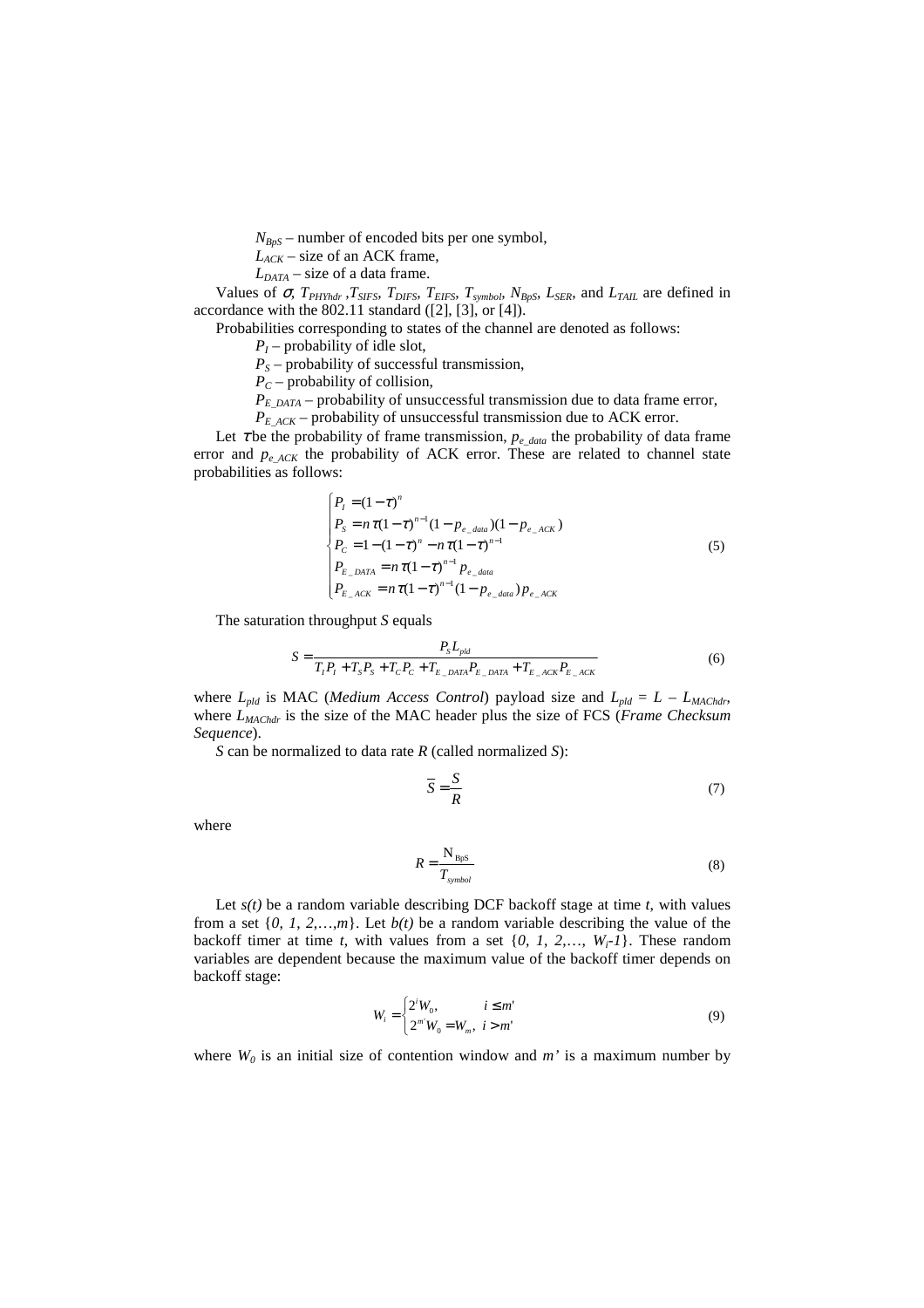$N_{BpS}$  – number of encoded bits per one symbol,

*LACK* – size of an ACK frame,

 $L_{DATA}$  – size of a data frame.

Values of  $\sigma$ ,  $T_{PHYhdr}$ ,  $T_{SIFS}$ ,  $T_{DIFS}$ ,  $T_{EIFS}$ ,  $T_{symbol}$ ,  $N_{BpS}$ ,  $L_{SER}$ , and  $L_{TAIL}$  are defined in accordance with the 802.11 standard ([2], [3], or [4]).

Probabilities corresponding to states of the channel are denoted as follows:

*PI* – probability of idle slot,

 $P_S$  – probability of successful transmission,

 $P_C$  – probability of collision,

*PE\_DATA* – probability of unsuccessful transmission due to data frame error,

 $P_{E|ACK}$  – probability of unsuccessful transmission due to ACK error.

Let  $\tau$  be the probability of frame transmission,  $p_e$  <sub>data</sub> the probability of data frame error and  $p_{e,ACK}$  the probability of ACK error. These are related to channel state probabilities as follows:

$$
\begin{cases}\nP_{I} = (1 - \tau)^{n} \\
P_{S} = n \tau (1 - \tau)^{n-1} (1 - p_{e_{data}}) (1 - p_{e_{t} \text{ACK}}) \\
P_{C} = 1 - (1 - \tau)^{n} - n \tau (1 - \tau)^{n-1} \\
P_{E_{t} \text{DATA}} = n \tau (1 - \tau)^{n-1} p_{e_{data}} \\
P_{E_{t} \text{ACK}} = n \tau (1 - \tau)^{n-1} (1 - p_{e_{data}}) p_{e_{t} \text{ACK}}\n\end{cases}
$$
\n(5)

The saturation throughput *S* equals

$$
S = \frac{P_{S}L_{pld}}{T_{I}P_{I} + T_{S}P_{S} + T_{C}P_{C} + T_{E_{D}A_{T}A}P_{E_{D}A_{T}A} + T_{E_{A}A_{C}K}P_{E_{A}A_{C}K}} \tag{6}
$$

where  $L_{pld}$  is MAC (*Medium Access Control*) payload size and  $L_{pld} = L - L_{MACHdr}$ , where *LMAChdr* is the size of the MAC header plus the size of FCS (*Frame Checksum Sequence*).

*S* can be normalized to data rate *R* (called normalized *S*):

$$
\overline{S} = \frac{S}{R}
$$
 (7)

where

$$
R = \frac{N_{\rm BpS}}{T_{\rm symbol}}
$$
 (8)

Let  $s(t)$  be a random variable describing DCF backoff stage at time  $t$ , with values from a set  $\{0, 1, 2, \ldots, m\}$ . Let  $b(t)$  be a random variable describing the value of the backoff timer at time *t*, with values from a set  $\{0, 1, 2, \ldots, W_i - 1\}$ . These random variables are dependent because the maximum value of the backoff timer depends on backoff stage:

$$
W_i = \begin{cases} 2^i W_0, & i \le m' \\ 2^m W_0 = W_m, & i > m' \end{cases}
$$
 (9)

where  $W_0$  is an initial size of contention window and  $m'$  is a maximum number by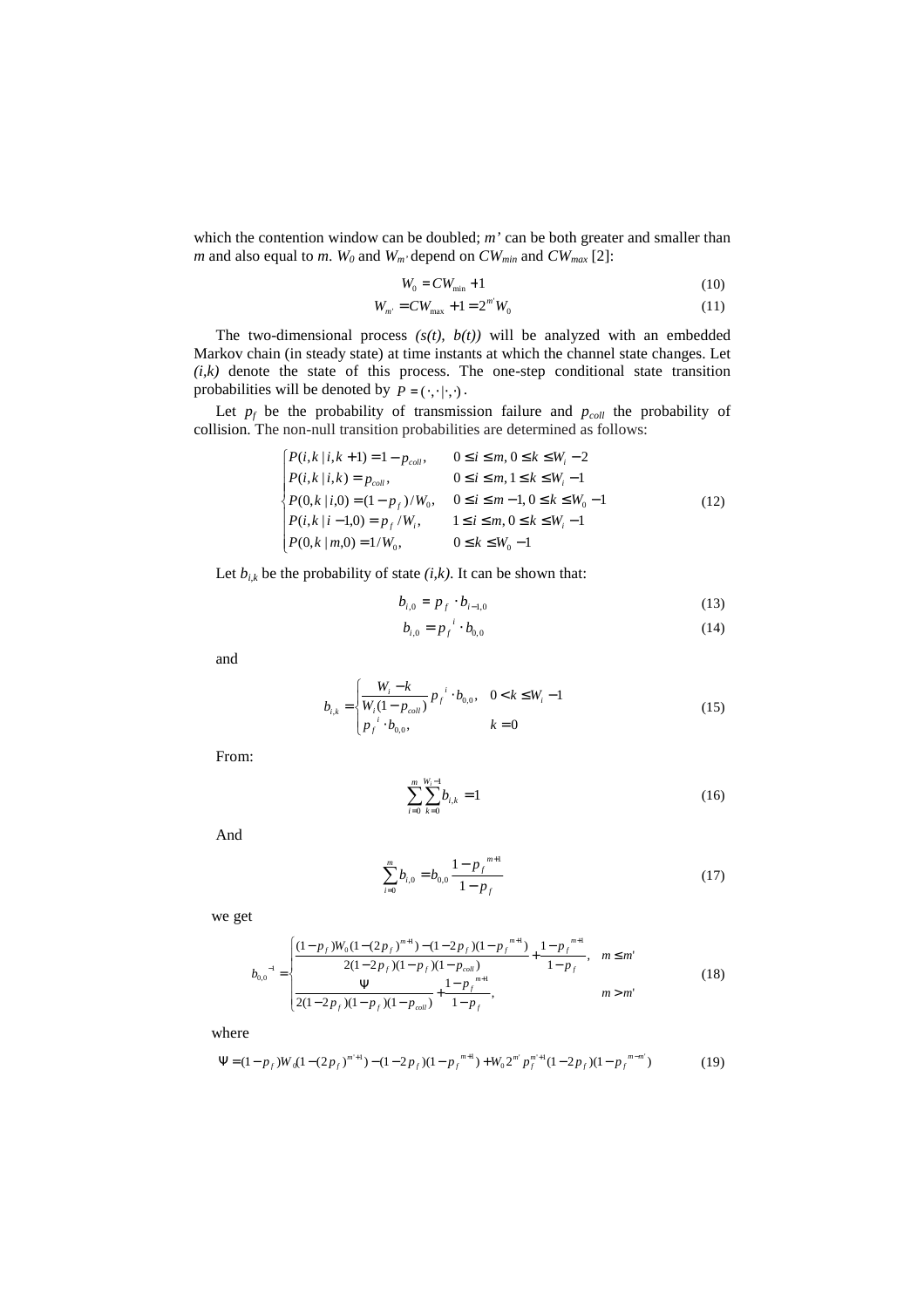which the contention window can be doubled; *m'* can be both greater and smaller than *m* and also equal to *m*.  $W_0$  and  $W_m$  depend on  $CW_{min}$  and  $CW_{max}$  [2]:

$$
W_0 = CW_{\min} + 1\tag{10}
$$

$$
W_{m'} = CW_{\text{max}} + 1 = 2^{m'} W_0 \tag{11}
$$

The two-dimensional process  $(s(t), b(t))$  will be analyzed with an embedded Markov chain (in steady state) at time instants at which the channel state changes. Let  $(i,k)$  denote the state of this process. The one-step conditional state transition probabilities will be denoted by  $P = (\cdot, \cdot | \cdot, \cdot)$ .

Let  $p_f$  be the probability of transmission failure and  $p_{coll}$  the probability of collision. The non-null transition probabilities are determined as follows:

$$
\begin{cases}\nP(i,k|i,k+1) = 1 - p_{coll}, & 0 \le i \le m, 0 \le k \le W_i - 2 \\
P(i,k|i,k) = p_{coll}, & 0 \le i \le m, 1 \le k \le W_i - 1 \\
P(0,k|i,0) = (1 - p_f)/W_0, & 0 \le i \le m-1, 0 \le k \le W_0 - 1 \\
P(i,k|i-1,0) = p_f/W_i, & 1 \le i \le m, 0 \le k \le W_i - 1 \\
P(0,k|m,0) = 1/W_0, & 0 \le k \le W_0 - 1\n\end{cases}
$$
\n(12)

Let  $b_{i,k}$  be the probability of state  $(i,k)$ . It can be shown that:

$$
b_{i,0} = p_f \cdot b_{i-1,0} \tag{13}
$$

$$
b_{i,0} = p_f^i \cdot b_{0,0} \tag{14}
$$

and

$$
b_{i,k} = \begin{cases} \frac{W_i - k}{W_i (1 - p_{coll})} p_f^{i} \cdot b_{0,0}, & 0 < k \le W_i - 1\\ p_f^{i} \cdot b_{0,0}, & k = 0 \end{cases}
$$
(15)

From:

$$
\sum_{i=0}^{m} \sum_{k=0}^{W_i - 1} b_{i,k} = 1
$$
 (16)

And

$$
\sum_{i=0}^{m} b_{i,0} = b_{0,0} \frac{1 - p_f^{m+1}}{1 - p_f}
$$
 (17)

we get

$$
b_{0,0}^{-1} = \begin{cases} \frac{(1 - p_f)W_0(1 - (2p_f)^{m+1}) - (1 - 2p_f)(1 - p_f^{m+1})}{2(1 - 2p_f)(1 - p_f)(1 - p_{coll})} + \frac{1 - p_f^{m+1}}{1 - p_f}, & m \le m'\\ \frac{\Psi}{2(1 - 2p_f)(1 - p_f)(1 - p_{coll})} + \frac{1 - p_f^{m+1}}{1 - p_f}, & m > m' \end{cases}
$$
(18)

where

$$
\Psi = (1 - p_f)W_0(1 - (2p_f)^{m+1}) - (1 - 2p_f)(1 - p_f^{m+1}) + W_0 2^{m'} p_f^{m+1} (1 - 2p_f)(1 - p_f^{m-m'})
$$
(19)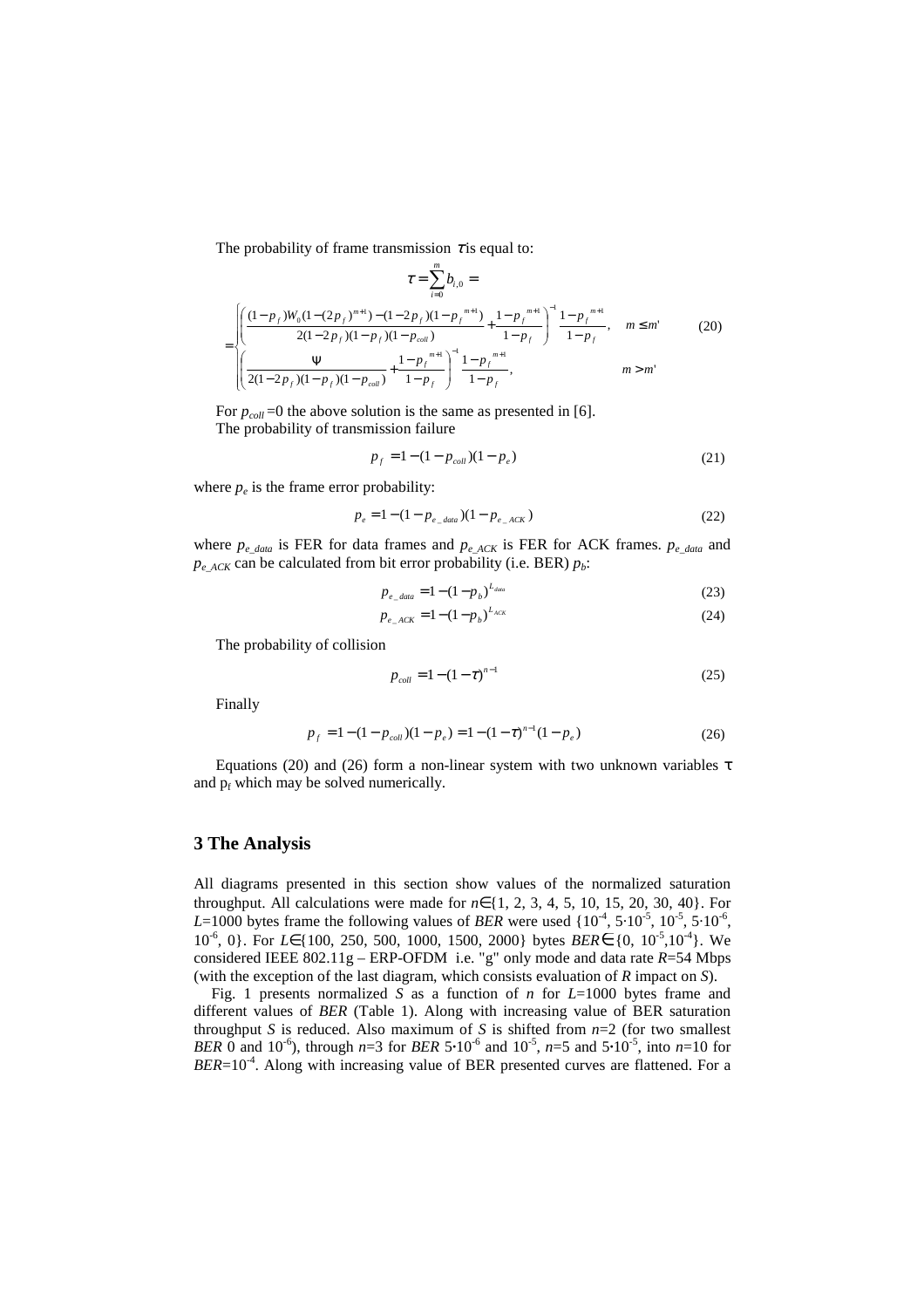The probability of frame transmission  $\tau$  is equal to:

$$
\tau = \sum_{i=0}^{m} b_{i,0} =
$$
\n
$$
= \begin{cases}\n\left(\frac{(1 - p_f)W_0(1 - (2p_f)^{m+1}) - (1 - 2p_f)(1 - p_f^{m+1})}{2(1 - 2p_f)(1 - p_f)(1 - p_{coll})} + \frac{1 - p_f^{m+1}}{1 - p_f}\right)^{-1} \frac{1 - p_f^{m+1}}{1 - p_f}, & m \leq m' \\
\left(\frac{\Psi}{2(1 - 2p_f)(1 - p_f)(1 - p_{coll})} + \frac{1 - p_f^{m+1}}{1 - p_f}\right)^{-1} \frac{1 - p_f^{m+1}}{1 - p_f}, & m > m'\n\end{cases}
$$
\n(20)

For  $p_{coll}$ =0 the above solution is the same as presented in [6]. The probability of transmission failure

$$
p_f = 1 - (1 - p_{coll})(1 - p_e) \tag{21}
$$

where  $p_e$  is the frame error probability:

$$
p_e = 1 - (1 - p_{e_{\text{data}}})(1 - p_{e_{\text{ACK}}})
$$
\n(22)

where *pe\_data* is FER for data frames and *pe\_ACK* is FER for ACK frames. *pe\_data* and  $p_{e,ACK}$  can be calculated from bit error probability (i.e. BER)  $p_b$ :

$$
p_{e_{\text{data}}} = 1 - (1 - p_{b})^{L_{data}} \tag{23}
$$

$$
p_{e\_ACK} = 1 - (1 - p_b)^{L_{ACK}} \tag{24}
$$

The probability of collision

$$
p_{coll} = 1 - (1 - \tau)^{n-1}
$$
 (25)

Finally

$$
p_f = 1 - (1 - p_{coll})(1 - p_e) = 1 - (1 - \tau)^{n-1}(1 - p_e)
$$
\n(26)

Equations (20) and (26) form a non-linear system with two unknown variables  $\tau$ and  $p_f$  which may be solved numerically.

## **3 The Analysis**

All diagrams presented in this section show values of the normalized saturation throughput. All calculations were made for *n*∈{1, 2, 3, 4, 5, 10, 15, 20, 30, 40}. For *L*=1000 bytes frame the following values of *BER* were used  $\{10^{-4}, 5 \cdot 10^{-5}, 10^{-5}, 5 \cdot 10^{-6},$ 10-6, 0}. For *L*∈{100, 250, 500, 1000, 1500, 2000} bytes *BER*∈{0, 10-5,10-4}. We considered IEEE 802.11g – ERP-OFDM i.e. "g" only mode and data rate *R*=54 Mbps (with the exception of the last diagram, which consists evaluation of *R* impact on *S*).

Fig. 1 presents normalized *S* as a function of *n* for *L*=1000 bytes frame and different values of *BER* (Table 1). Along with increasing value of BER saturation throughput *S* is reduced. Also maximum of *S* is shifted from  $n=2$  (for two smallest *BER* 0 and 10<sup>-6</sup>), through *n*=3 for *BER* 5 $\cdot$ 10<sup>-6</sup> and 10<sup>-5</sup>, *n*=5 and 5 $\cdot$ 10<sup>-5</sup>, into *n*=10 for *BER*=10<sup>-4</sup>. Along with increasing value of BER presented curves are flattened. For a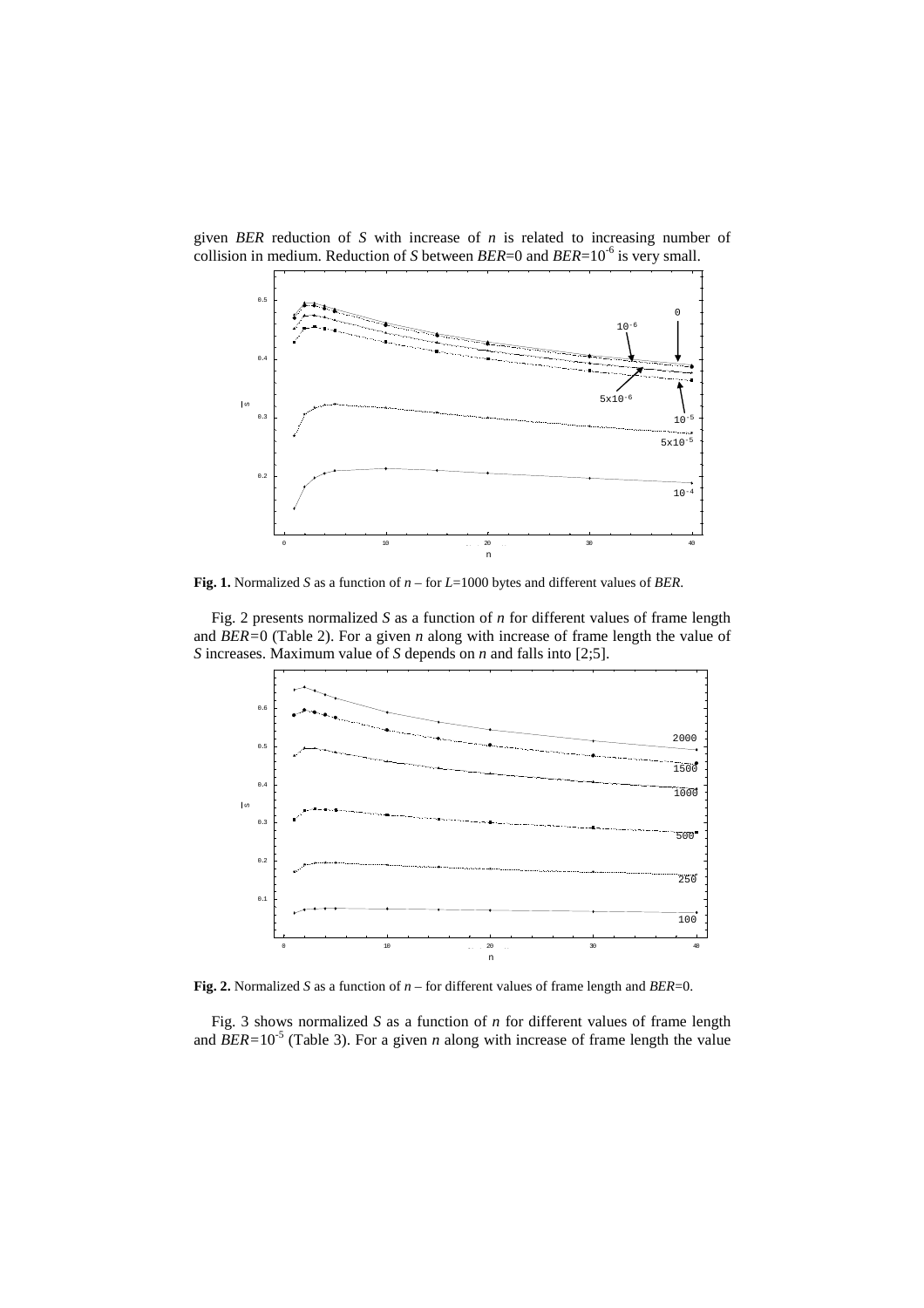

given *BER* reduction of *S* with increase of *n* is related to increasing number of collision in medium. Reduction of *S* between *BER*=0 and *BER*=10-6 is very small.

**Fig. 1.** Normalized *S* as a function of *n* – for *L*=1000 bytes and different values of *BER*.

Fig. 2 presents normalized *S* as a function of *n* for different values of frame length and *BER=*0 (Table 2). For a given *n* along with increase of frame length the value of *S* increases. Maximum value of *S* depends on *n* and falls into [2;5].



**Fig. 2.** Normalized *S* as a function of *n* – for different values of frame length and *BER*=0.

Fig. 3 shows normalized *S* as a function of *n* for different values of frame length and  $BER=10^{-5}$  (Table 3). For a given *n* along with increase of frame length the value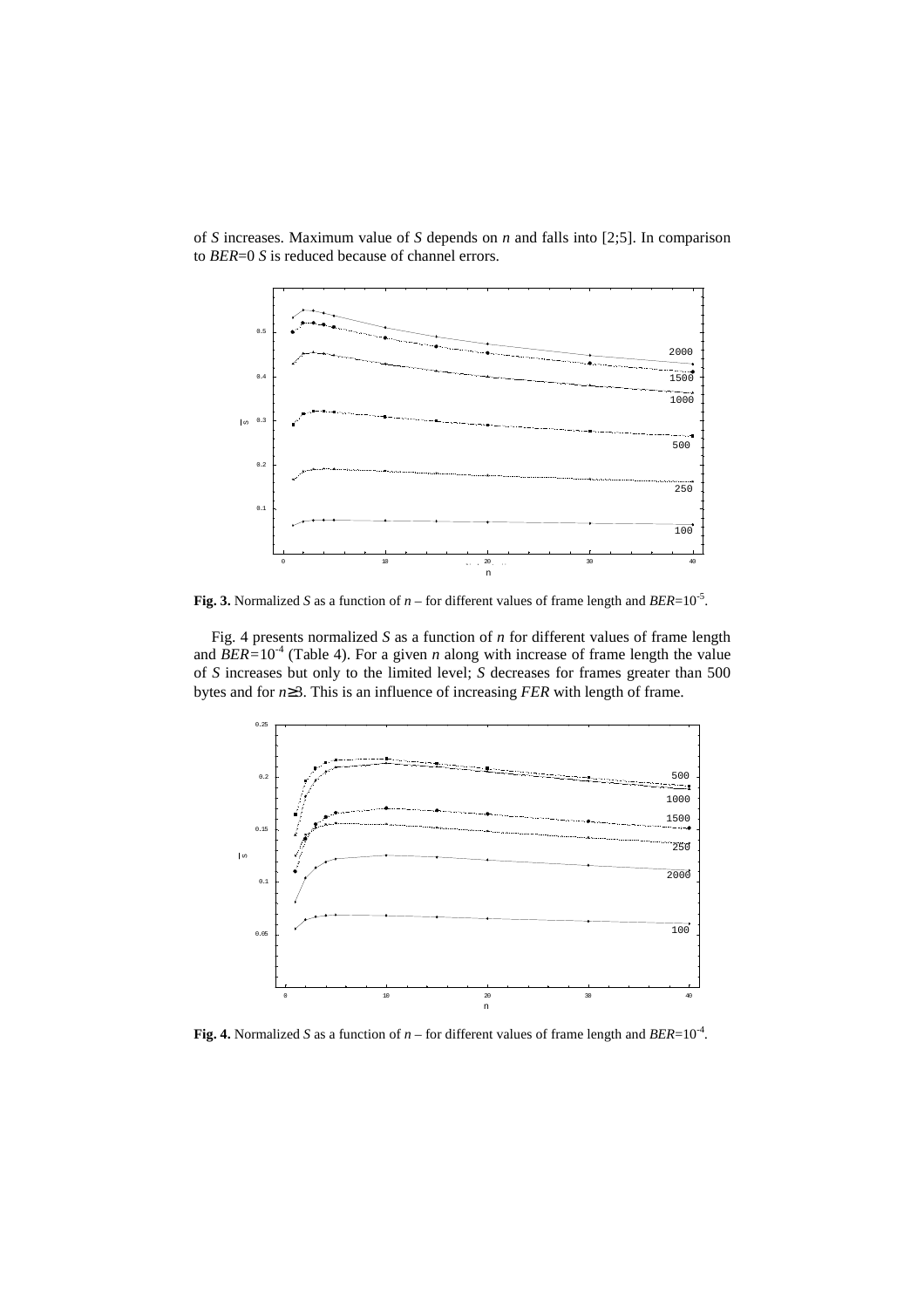

of *S* increases. Maximum value of *S* depends on *n* and falls into [2;5]. In comparison to *BER*=0 *S* is reduced because of channel errors.

**Fig. 3.** Normalized *S* as a function of  $n -$  for different values of frame length and  $BER=10^{-5}$ .

Fig. 4 presents normalized *S* as a function of *n* for different values of frame length and  $BER=10^{-4}$  (Table 4). For a given *n* along with increase of frame length the value of *S* increases but only to the limited level; *S* decreases for frames greater than 500 bytes and for *n*≥3. This is an influence of increasing *FER* with length of frame.



**Fig. 4.** Normalized *S* as a function of  $n$  – for different values of frame length and *BER*=10<sup>-4</sup>.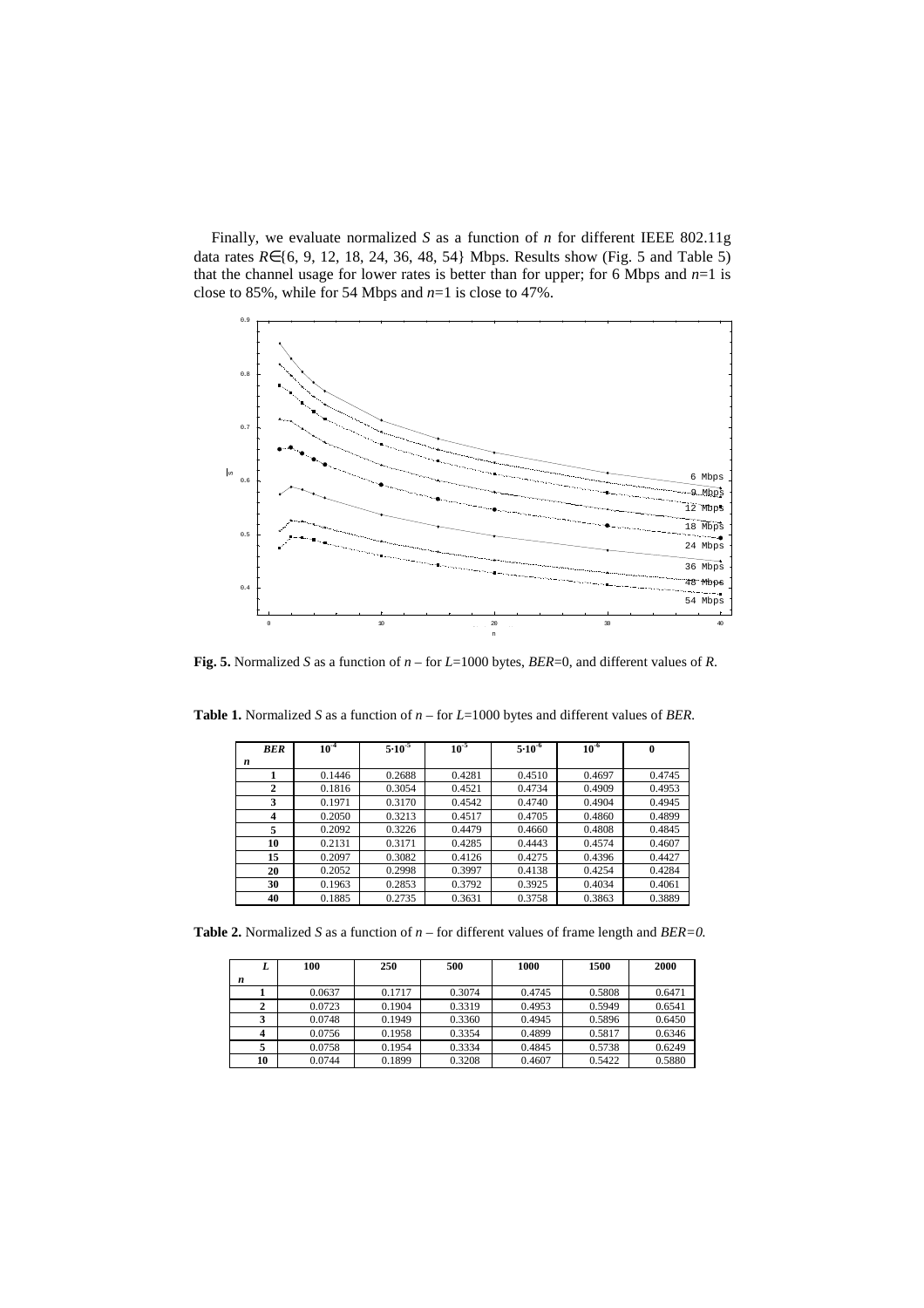Finally, we evaluate normalized *S* as a function of *n* for different IEEE 802.11g data rates *R*∈{6, 9, 12, 18, 24, 36, 48, 54} Mbps. Results show (Fig. 5 and Table 5) that the channel usage for lower rates is better than for upper; for 6 Mbps and  $n=1$  is close to 85%, while for 54 Mbps and *n*=1 is close to 47%.



**Fig. 5.** Normalized *S* as a function of *n* – for *L*=1000 bytes, *BER*=0, and different values of *R*.

| <b>BER</b>   | $10^{-4}$ | $5.10^{-5}$ | $10^{-5}$ | $5.10^{-6}$ | $10^{-6}$ | $\bf{0}$ |
|--------------|-----------|-------------|-----------|-------------|-----------|----------|
| n            |           |             |           |             |           |          |
| 1            | 0.1446    | 0.2688      | 0.4281    | 0.4510      | 0.4697    | 0.4745   |
| $\mathbf{2}$ | 0.1816    | 0.3054      | 0.4521    | 0.4734      | 0.4909    | 0.4953   |
| 3            | 0.1971    | 0.3170      | 0.4542    | 0.4740      | 0.4904    | 0.4945   |
| 4            | 0.2050    | 0.3213      | 0.4517    | 0.4705      | 0.4860    | 0.4899   |
| 5            | 0.2092    | 0.3226      | 0.4479    | 0.4660      | 0.4808    | 0.4845   |
| 10           | 0.2131    | 0.3171      | 0.4285    | 0.4443      | 0.4574    | 0.4607   |
| 15           | 0.2097    | 0.3082      | 0.4126    | 0.4275      | 0.4396    | 0.4427   |
| 20           | 0.2052    | 0.2998      | 0.3997    | 0.4138      | 0.4254    | 0.4284   |
| 30           | 0.1963    | 0.2853      | 0.3792    | 0.3925      | 0.4034    | 0.4061   |
| 40           | 0.1885    | 0.2735      | 0.3631    | 0.3758      | 0.3863    | 0.3889   |

**Table 1.** Normalized *S* as a function of *n* – for *L*=1000 bytes and different values of *BER.*

**Table 2.** Normalized *S* as a function of *n* – for different values of frame length and *BER=0.*

| L  | 100    | 250    | 500    | 1000   | 1500   | 2000   |
|----|--------|--------|--------|--------|--------|--------|
| n  |        |        |        |        |        |        |
|    | 0.0637 | 0.1717 | 0.3074 | 0.4745 | 0.5808 | 0.6471 |
|    | 0.0723 | 0.1904 | 0.3319 | 0.4953 | 0.5949 | 0.6541 |
|    | 0.0748 | 0.1949 | 0.3360 | 0.4945 | 0.5896 | 0.6450 |
|    | 0.0756 | 0.1958 | 0.3354 | 0.4899 | 0.5817 | 0.6346 |
|    | 0.0758 | 0.1954 | 0.3334 | 0.4845 | 0.5738 | 0.6249 |
| 10 | 0.0744 | 0.1899 | 0.3208 | 0.4607 | 0.5422 | 0.5880 |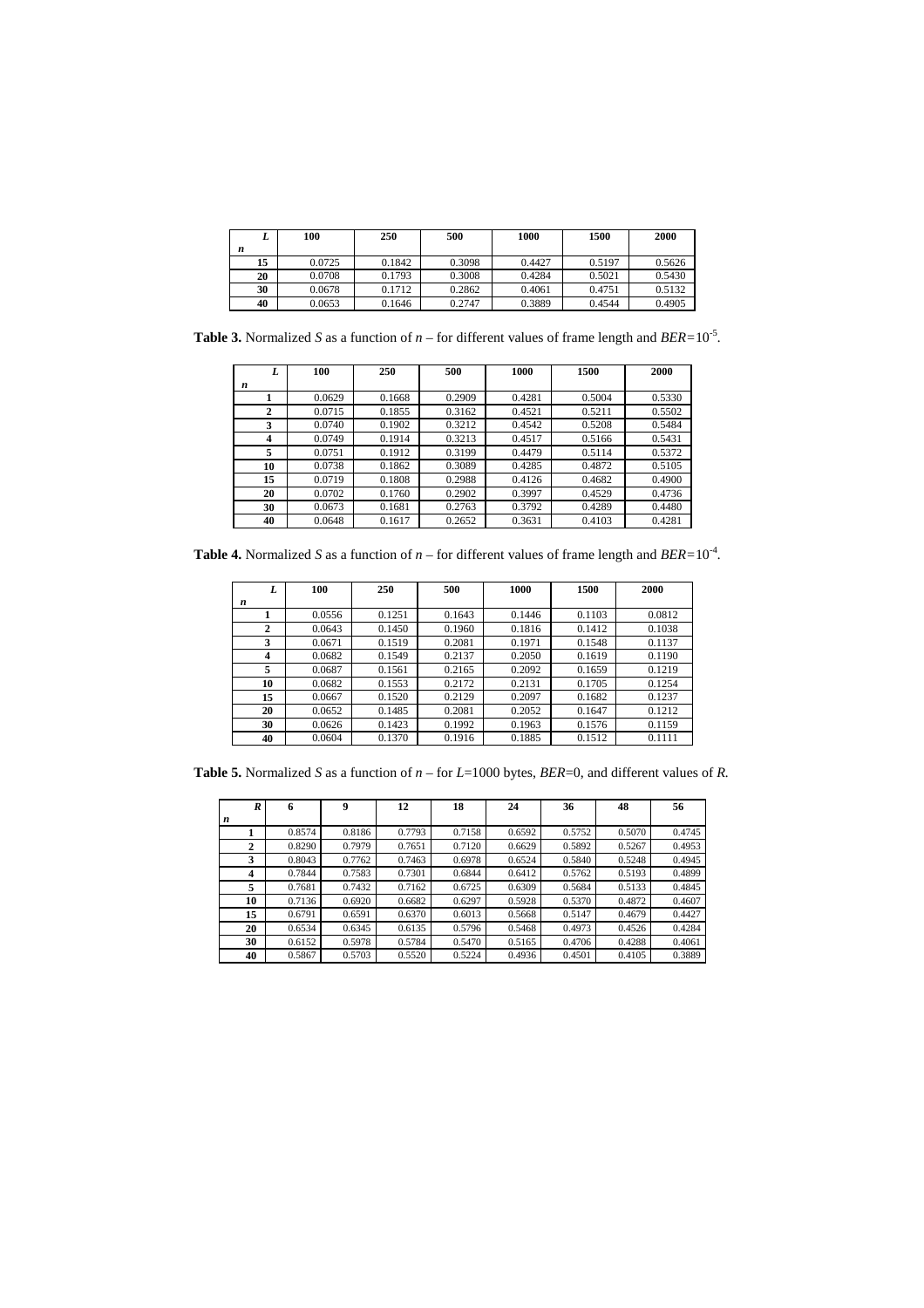| ▴  | 100    | 250    | 500    | 1000   | 1500   | 2000   |
|----|--------|--------|--------|--------|--------|--------|
| n  |        |        |        |        |        |        |
| 15 | 0.0725 | 0.1842 | 0.3098 | 0.4427 | 0.5197 | 0.5626 |
| 20 | 0.0708 | 0.1793 | 0.3008 | 0.4284 | 0.5021 | 0.5430 |
| 30 | 0.0678 | 0.1712 | 0.2862 | 0.4061 | 0.4751 | 0.5132 |
| 40 | 0.0653 | 0.1646 | 0.2747 | 0.3889 | 0.4544 | 0.4905 |

**Table 3.** Normalized *S* as a function of  $n$  – for different values of frame length and *BER*=10<sup>-5</sup>.

|    | 100    | 250    | 500    | 1000   | 1500   | 2000   |
|----|--------|--------|--------|--------|--------|--------|
| n  |        |        |        |        |        |        |
|    | 0.0629 | 0.1668 | 0.2909 | 0.4281 | 0.5004 | 0.5330 |
| 2  | 0.0715 | 0.1855 | 0.3162 | 0.4521 | 0.5211 | 0.5502 |
| 3  | 0.0740 | 0.1902 | 0.3212 | 0.4542 | 0.5208 | 0.5484 |
| 4  | 0.0749 | 0.1914 | 0.3213 | 0.4517 | 0.5166 | 0.5431 |
| 5  | 0.0751 | 0.1912 | 0.3199 | 0.4479 | 0.5114 | 0.5372 |
| 10 | 0.0738 | 0.1862 | 0.3089 | 0.4285 | 0.4872 | 0.5105 |
| 15 | 0.0719 | 0.1808 | 0.2988 | 0.4126 | 0.4682 | 0.4900 |
| 20 | 0.0702 | 0.1760 | 0.2902 | 0.3997 | 0.4529 | 0.4736 |
| 30 | 0.0673 | 0.1681 | 0.2763 | 0.3792 | 0.4289 | 0.4480 |
| 40 | 0.0648 | 0.1617 | 0.2652 | 0.3631 | 0.4103 | 0.4281 |

**Table 4.** Normalized *S* as a function of  $n$  – for different values of frame length and *BER*=10<sup>-4</sup>.

| L            | 100    | 250    | 500    | 1000   | 1500   | 2000   |
|--------------|--------|--------|--------|--------|--------|--------|
| n            |        |        |        |        |        |        |
|              | 0.0556 | 0.1251 | 0.1643 | 0.1446 | 0.1103 | 0.0812 |
| $\mathbf{2}$ | 0.0643 | 0.1450 | 0.1960 | 0.1816 | 0.1412 | 0.1038 |
| 3            | 0.0671 | 0.1519 | 0.2081 | 0.1971 | 0.1548 | 0.1137 |
| 4            | 0.0682 | 0.1549 | 0.2137 | 0.2050 | 0.1619 | 0.1190 |
| 5            | 0.0687 | 0.1561 | 0.2165 | 0.2092 | 0.1659 | 0.1219 |
| 10           | 0.0682 | 0.1553 | 0.2172 | 0.2131 | 0.1705 | 0.1254 |
| 15           | 0.0667 | 0.1520 | 0.2129 | 0.2097 | 0.1682 | 0.1237 |
| 20           | 0.0652 | 0.1485 | 0.2081 | 0.2052 | 0.1647 | 0.1212 |
| 30           | 0.0626 | 0.1423 | 0.1992 | 0.1963 | 0.1576 | 0.1159 |
| 40           | 0.0604 | 0.1370 | 0.1916 | 0.1885 | 0.1512 | 0.1111 |

**Table 5.** Normalized *S* as a function of *n* – for *L*=1000 bytes, *BER*=0, and different values of *R.*

| R                       | 6      | 9      | 12     | 18     | 24     | 36     | 48     | 56     |
|-------------------------|--------|--------|--------|--------|--------|--------|--------|--------|
| n                       |        |        |        |        |        |        |        |        |
|                         | 0.8574 | 0.8186 | 0.7793 | 0.7158 | 0.6592 | 0.5752 | 0.5070 | 0.4745 |
| $\mathbf{2}$            | 0.8290 | 0.7979 | 0.7651 | 0.7120 | 0.6629 | 0.5892 | 0.5267 | 0.4953 |
| 3                       | 0.8043 | 0.7762 | 0.7463 | 0.6978 | 0.6524 | 0.5840 | 0.5248 | 0.4945 |
| $\overline{\mathbf{4}}$ | 0.7844 | 0.7583 | 0.7301 | 0.6844 | 0.6412 | 0.5762 | 0.5193 | 0.4899 |
| 5                       | 0.7681 | 0.7432 | 0.7162 | 0.6725 | 0.6309 | 0.5684 | 0.5133 | 0.4845 |
| 10                      | 0.7136 | 0.6920 | 0.6682 | 0.6297 | 0.5928 | 0.5370 | 0.4872 | 0.4607 |
| 15                      | 0.6791 | 0.6591 | 0.6370 | 0.6013 | 0.5668 | 0.5147 | 0.4679 | 0.4427 |
| 20                      | 0.6534 | 0.6345 | 0.6135 | 0.5796 | 0.5468 | 0.4973 | 0.4526 | 0.4284 |
| 30                      | 0.6152 | 0.5978 | 0.5784 | 0.5470 | 0.5165 | 0.4706 | 0.4288 | 0.4061 |
| 40                      | 0.5867 | 0.5703 | 0.5520 | 0.5224 | 0.4936 | 0.4501 | 0.4105 | 0.3889 |